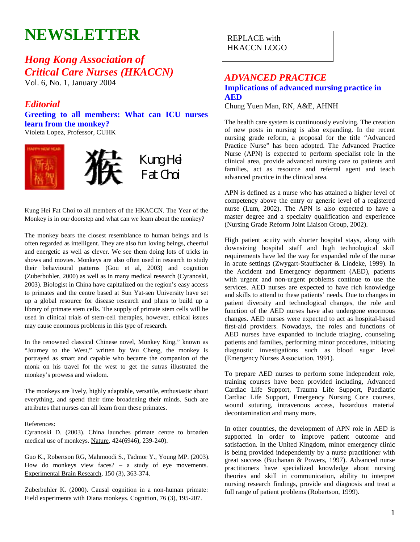# **NEWSLETTER**

## *Hong Kong Association of Critical Care Nurses (HKACCN)*

Vol. 6, No. 1, January 2004

## *Editorial*

**Greeting to all members: What can ICU nurses learn from the monkey?**  Violeta Lopez, Professor, CUHK



Kung Hei Fat Choi to all members of the HKACCN. The Year of the Monkey is in our doorstep and what can we learn about the monkey?

The monkey bears the closest resemblance to human beings and is often regarded as intelligent. They are also fun loving beings, cheerful and energetic as well as clever. We see them doing lots of tricks in shows and movies. Monkeys are also often used in research to study their behavioural patterns (Gou et al, 2003) and cognition (Zuberbuhler, 2000) as well as in many medical research (Cyranoski, 2003). Biologist in China have capitalized on the region's easy access to primates and the centre based at Sun Yat-sen University have set up a global resource for disease research and plans to build up a library of primate stem cells. The supply of primate stem cells will be used in clinical trials of stem-cell therapies, however, ethical issues may cause enormous problems in this type of research.

In the renowned classical Chinese novel, Monkey King," known as "Journey to the West," written by Wu Cheng, the monkey is portrayed as smart and capable who became the companion of the monk on his travel for the west to get the sutras illustrated the monkey's prowess and wisdom.

The monkeys are lively, highly adaptable, versatile, enthusiastic about everything, and spend their time broadening their minds. Such are attributes that nurses can all learn from these primates.

#### References:

Cyranoski D. (2003). China launches primate centre to broaden medical use of monkeys. Nature, 424(6946), 239-240).

Guo K., Robertson RG, Mahmoodi S., Tadmor Y., Young MP. (2003). How do monkeys view faces? – a study of eye movements. Experimental Brain Research, 150 (3), 363-374.

Zuberbuhler K. (2000). Causal cognition in a non-human primate: Field experiments with Diana monkeys. Cognition, 76 (3), 195-207.

REPLACE with HKACCN LOGO

## *ADVANCED PRACTICE*  **Implications of advanced nursing practice in AED**

Chung Yuen Man, RN, A&E, AHNH

The health care system is continuously evolving. The creation of new posts in nursing is also expanding. In the recent nursing grade reform, a proposal for the title "Advanced Practice Nurse" has been adopted. The Advanced Practice Nurse (APN) is expected to perform specialist role in the clinical area, provide advanced nursing care to patients and families, act as resource and referral agent and teach advanced practice in the clinical area.

APN is defined as a nurse who has attained a higher level of competency above the entry or generic level of a registered nurse (Lum, 2002). The APN is also expected to have a master degree and a specialty qualification and experience (Nursing Grade Reform Joint Liaison Group, 2002).

High patient acuity with shorter hospital stays, along with downsizing hospital staff and high technological skill requirements have led the way for expanded role of the nurse in acute settings (Zwygart-Stauffacher & Lindeke, 1999). In the Accident and Emergency department (AED), patients with urgent and non-urgent problems continue to use the services. AED nurses are expected to have rich knowledge and skills to attend to these patients' needs. Due to changes in patient diversity and technological changes, the role and function of the AED nurses have also undergone enormous changes. AED nurses were expected to act as hospital-based first-aid providers. Nowadays, the roles and functions of AED nurses have expanded to include triaging, counseling patients and families, performing minor procedures, initiating diagnostic investigations such as blood sugar level (Emergency Nurses Association, 1991).

To prepare AED nurses to perform some independent role, training courses have been provided including, Advanced Cardiac Life Support, Trauma Life Support, Paediatric Cardiac Life Support, Emergency Nursing Core courses, wound suturing, intravenous access, hazardous material decontamination and many more.

In other countries, the development of APN role in AED is supported in order to improve patient outcome and satisfaction. In the United Kingdom, minor emergency clinic is being provided independently by a nurse practitioner with great success (Buchanan & Powers, 1997). Advanced nurse practitioners have specialized knowledge about nursing theories and skill in communication, ability to interpret nursing research findings, provide and diagnosis and treat a full range of patient problems (Robertson, 1999).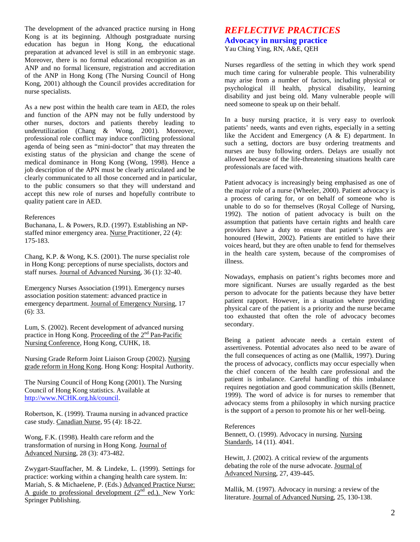The development of the advanced practice nursing in Hong Kong is at its beginning. Although postgraduate nursing education has begun in Hong Kong, the educational preparation at advanced level is still in an embryonic stage. Moreover, there is no formal educational recognition as an ANP and no formal licensure, registration and accreditation of the ANP in Hong Kong (The Nursing Council of Hong Kong, 2001) although the Council provides accreditation for nurse specialists.

As a new post within the health care team in AED, the roles and function of the APN may not be fully understood by other nurses, doctors and patients thereby leading to underutilization (Chang & Wong, 2001). Moreover, professional role conflict may induce conflicting professional agenda of being seen as "mini-doctor" that may threaten the existing status of the physician and change the scene of medical dominance in Hong Kong (Wong, 1998). Hence a job description of the APN must be clearly articulated and be clearly communicated to all those concerned and in particular, to the public consumers so that they will understand and accept this new role of nurses and hopefully contribute to quality patient care in AED.

#### References

Buchanana, L. & Powers, R.D. (1997). Establishing an NPstaffed minor emergency area. Nurse Practitioner, 22 (4): 175-183.

Chang, K.P. & Wong, K.S. (2001). The nurse specialist role in Hong Kong: perceptions of nurse specialists, doctors and staff nurses. Journal of Advanced Nursing, 36 (1): 32-40.

Emergency Nurses Association (1991). Emergency nurses association position statement: advanced practice in emergency department. Journal of Emergency Nursing, 17 (6): 33.

Lum, S. (2002). Recent development of advanced nursing practice in Hong Kong. Proceeding of the 2<sup>nd</sup> Pan-Pacific Nursing Conference, Hong Kong, CUHK, 18.

Nursing Grade Reform Joint Liaison Group (2002). Nursing grade reform in Hong Kong. Hong Kong: Hospital Authority.

The Nursing Council of Hong Kong (2001). The Nursing Council of Hong Kong statistics. Available at http://www.NCHK.org.hk/council.

Robertson, K. (1999). Trauma nursing in advanced practice case study. Canadian Nurse, 95 (4): 18-22.

Wong, F.K. (1998). Health care reform and the transformation of nursing in Hong Kong. Journal of Advanced Nursing, 28 (3): 473-482.

Zwygart-Stauffacher, M. & Lindeke, L. (1999). Settings for practice: working within a changing health care system. In: Mariah, S. & Michaelene, P. (Eds.) Advanced Practice Nurse: A guide to professional development  $(2^{nd}$  ed.). New York: Springer Publishing.

## *REFLECTIVE PRACTICES*  **Advocacy in nursing practice**

Yau Ching Ying, RN, A&E, QEH

Nurses regardless of the setting in which they work spend much time caring for vulnerable people. This vulnerability may arise from a number of factors, including physical or psychological ill health, physical disability, learning disability and just being old. Many vulnerable people will need someone to speak up on their behalf.

In a busy nursing practice, it is very easy to overlook patients' needs, wants and even rights, especially in a setting like the Accident and Emergency (A & E) department. In such a setting, doctors are busy ordering treatments and nurses are busy following orders. Delays are usually not allowed because of the life-threatening situations health care professionals are faced with.

Patient advocacy is increasingly being emphasised as one of the major role of a nurse (Wheeler, 2000). Patient advocacy is a process of caring for, or on behalf of someone who is unable to do so for themselves (Royal College of Nursing, 1992). The notion of patient advocacy is built on the assumption that patients have certain rights and health care providers have a duty to ensure that patient's rights are honoured (Hewitt, 2002). Patients are entitled to have their voices heard, but they are often unable to fend for themselves in the health care system, because of the compromises of illness.

Nowadays, emphasis on patient's rights becomes more and more significant. Nurses are usually regarded as the best person to advocate for the patients because they have better patient rapport. However, in a situation where providing physical care of the patient is a priority and the nurse became too exhausted that often the role of advocacy becomes secondary.

Being a patient advocate needs a certain extent of assertiveness. Potential advocates also need to be aware of the full consequences of acting as one (Mallik, 1997). During the process of advocacy, conflicts may occur especially when the chief concern of the health care professional and the patient is imbalance. Careful handling of this imbalance requires negotiation and good communication skills (Bennett, 1999). The word of advice is for nurses to remember that advocacy stems from a philosophy in which nursing practice is the support of a person to promote his or her well-being.

#### References

Bennett, O. (1999). Advocacy in nursing. Nursing Standards, 14 (11). 4041.

Hewitt, J. (2002). A critical review of the arguments debating the role of the nurse advocate. Journal of Advanced Nursing, 27, 439-445.

Mallik, M. (1997). Advocacy in nursing: a review of the literature. Journal of Advanced Nursing, 25, 130-138.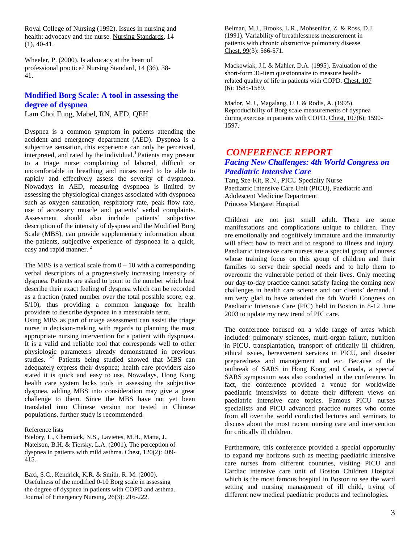Royal College of Nursing (1992). Issues in nursing and health: advocacy and the nurse. Nursing Standards, 14 (1), 40-41.

Wheeler, P. (2000). Is advocacy at the heart of professional practice? Nursing Standard, 14 (36), 38- 41.

## **Modified Borg Scale: A tool in assessing the degree of dyspnea**

Lam Choi Fung, Mabel, RN, AED, QEH

Dyspnea is a common symptom in patients attending the accident and emergency department (AED). Dyspnea is a subjective sensation, this experience can only be perceived, interpreted, and rated by the individual.<sup>1</sup> Patients may present to a triage nurse complaining of labored, difficult or uncomfortable in breathing and nurses need to be able to rapidly and effectively assess the severity of dyspnoea. Nowadays in AED, measuring dyspnoea is limited by assessing the physiological changes associated with dyspnoea such as oxygen saturation, respiratory rate, peak flow rate, use of accessory muscle and patients' verbal complaints. Assessment should also include patients' subjective description of the intensity of dyspnea and the Modified Borg Scale (MBS), can provide supplementary information about the patients, subjective experience of dyspnoea in a quick, easy and rapid manner.<sup>2</sup>

The MBS is a vertical scale from  $0 - 10$  with a corresponding verbal descriptors of a progressively increasing intensity of dyspnea. Patients are asked to point to the number which best describe their exact feeling of dyspnea which can be recorded as a fraction (rated number over the total possible score; e.g. 5/10), thus providing a common language for health providers to describe dyspnoea in a measurable term.

Using MBS as part of triage assessment can assist the triage nurse in decision-making with regards to planning the most appropriate nursing intervention for a patient with dyspnoea. It is a valid and reliable tool that corresponds well to other physiologic parameters already demonstrated in previous studies.  $3-5$  Patients being studied showed that MBS can adequately express their dyspnea; health care providers also stated it is quick and easy to use. Nowadays, Hong Kong health care system lacks tools in assessing the subjective dyspnea, adding MBS into consideration may give a great challenge to them. Since the MBS have not yet been translated into Chinese version nor tested in Chinese populations, further study is recommended.

Reference lists

Bielory, L., Cherniack, N.S., Lavietes, M.H., Matta, J., Natelson, B.H. & Tiersky, L.A. (2001). The perception of dyspnea in patients with mild asthma. Chest, 120(2): 409- 415.

Baxi, S.C., Kendrick, K.R. & Smith, R. M. (2000). Usefulness of the modified 0-10 Borg scale in assessing the degree of dyspnea in patients with COPD and asthma. Journal of Emergency Nursing, 26(3): 216-222.

Belman, M.J., Brooks, L.R., Mohsenifar, Z. & Ross, D.J. (1991). Variability of breathlessness measurement in patients with chronic obstructive pulmonary disease. Chest, 99(3): 566-571.

Mackowiak, J.I. & Mahler, D.A. (1995). Evaluation of the short-form 36-item questionnaire to measure healthrelated quality of life in patients with COPD. Chest, 107 (6): 1585-1589.

Mador, M.J., Magalang, U.J. & Rodis, A. (1995). Reproducibility of Borg scale measurements of dyspnea during exercise in patients with COPD. Chest, 107(6): 1590- 1597.

## *CONFERENCE REPORT Facing New Challenges: 4th World Congress on Paediatric Intensive Care*

Tang Sze-Kit, R.N., PICU Specialty Nurse Paediatric Intensive Care Unit (PICU), Paediatric and Adolescent Medicine Department Princess Margaret Hospital

Children are not just small adult. There are some manifestations and complications unique to children. They are emotionally and cognitively immature and the immaturity will affect how to react and to respond to illness and injury. Paediatric intensive care nurses are a special group of nurses whose training focus on this group of children and their families to serve their special needs and to help them to overcome the vulnerable period of their lives. Only meeting our day-to-day practice cannot satisfy facing the coming new challenges in health care science and our clients' demand. I am very glad to have attended the 4th World Congress on Paediatric Intensive Care (PIC) held in Boston in 8-12 June 2003 to update my new trend of PIC care.

The conference focused on a wide range of areas which included: pulmonary sciences, multi-organ failure, nutrition in PICU, transplantation, transport of critically ill children, ethical issues, bereavement services in PICU, and disaster preparedness and management and etc. Because of the outbreak of SARS in Hong Kong and Canada, a special SARS symposium was also conducted in the conference. In fact, the conference provided a venue for worldwide paediatric intensivists to debate their different views on paediatric intensive care topics. Famous PICU nurses specialists and PICU advanced practice nurses who come from all over the world conducted lectures and seminars to discuss about the most recent nursing care and intervention for critically ill children.

Furthermore, this conference provided a special opportunity to expand my horizons such as meeting paediatric intensive care nurses from different countries, visiting PICU and Cardiac intensive care unit of Boston Children Hospital which is the most famous hospital in Boston to see the ward setting and nursing management of ill child, trying of different new medical paediatric products and technologies.